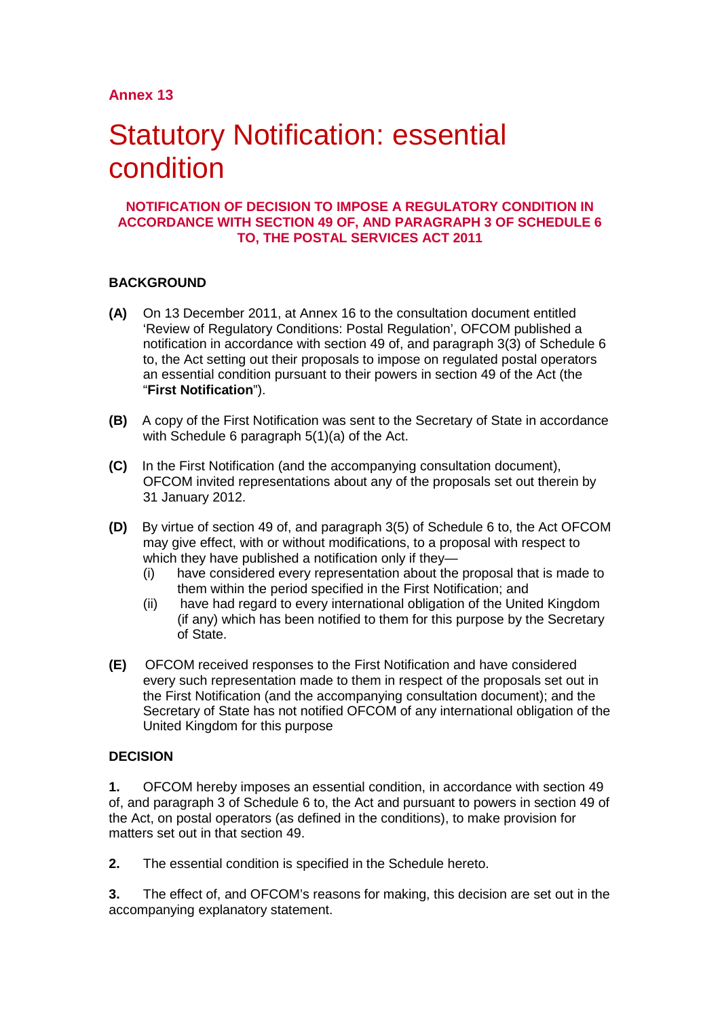# Statutory Notification: essential condition

#### **NOTIFICATION OF DECISION TO IMPOSE A REGULATORY CONDITION IN ACCORDANCE WITH SECTION 49 OF, AND PARAGRAPH 3 OF SCHEDULE 6 TO, THE POSTAL SERVICES ACT 2011**

# **BACKGROUND**

- **(A)** On 13 December 2011, at Annex 16 to the consultation document entitled 'Review of Regulatory Conditions: Postal Regulation', OFCOM published a notification in accordance with section 49 of, and paragraph 3(3) of Schedule 6 to, the Act setting out their proposals to impose on regulated postal operators an essential condition pursuant to their powers in section 49 of the Act (the "**First Notification**").
- **(B)** A copy of the First Notification was sent to the Secretary of State in accordance with Schedule 6 paragraph 5(1)(a) of the Act.
- **(C)** In the First Notification (and the accompanying consultation document), OFCOM invited representations about any of the proposals set out therein by 31 January 2012.
- **(D)** By virtue of section 49 of, and paragraph 3(5) of Schedule 6 to, the Act OFCOM may give effect, with or without modifications, to a proposal with respect to which they have published a notification only if they—
	- (i) have considered every representation about the proposal that is made to them within the period specified in the First Notification; and
	- (ii) have had regard to every international obligation of the United Kingdom (if any) which has been notified to them for this purpose by the Secretary of State.
- **(E)** OFCOM received responses to the First Notification and have considered every such representation made to them in respect of the proposals set out in the First Notification (and the accompanying consultation document); and the Secretary of State has not notified OFCOM of any international obligation of the United Kingdom for this purpose

# **DECISION**

**1.** OFCOM hereby imposes an essential condition, in accordance with section 49 of, and paragraph 3 of Schedule 6 to, the Act and pursuant to powers in section 49 of the Act, on postal operators (as defined in the conditions), to make provision for matters set out in that section 49.

**2.** The essential condition is specified in the Schedule hereto.

**3.** The effect of, and OFCOM's reasons for making, this decision are set out in the accompanying explanatory statement.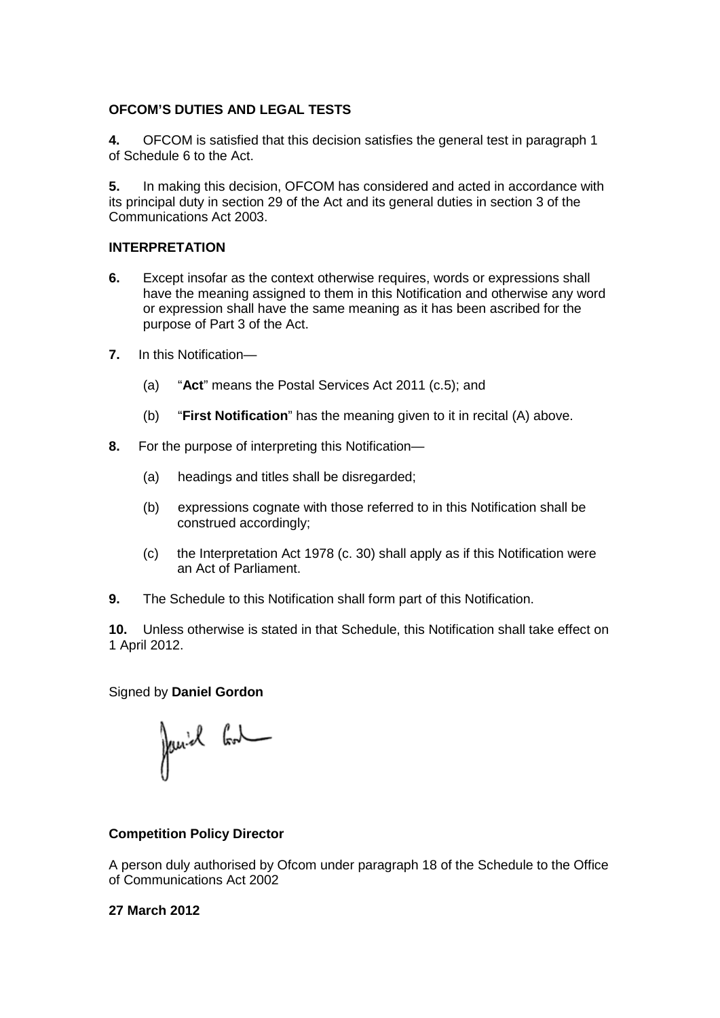# **OFCOM'S DUTIES AND LEGAL TESTS**

**4.** OFCOM is satisfied that this decision satisfies the general test in paragraph 1 of Schedule 6 to the Act.

**5.** In making this decision, OFCOM has considered and acted in accordance with its principal duty in section 29 of the Act and its general duties in section 3 of the Communications Act 2003.

# **INTERPRETATION**

- **6.** Except insofar as the context otherwise requires, words or expressions shall have the meaning assigned to them in this Notification and otherwise any word or expression shall have the same meaning as it has been ascribed for the purpose of Part 3 of the Act.
- **7.** In this Notification—
	- (a) "**Act**" means the Postal Services Act 2011 (c.5); and
	- (b) "**First Notification**" has the meaning given to it in recital (A) above.
- **8.** For the purpose of interpreting this Notification—
	- (a) headings and titles shall be disregarded;
	- (b) expressions cognate with those referred to in this Notification shall be construed accordingly;
	- (c) the Interpretation Act 1978 (c. 30) shall apply as if this Notification were an Act of Parliament.
- **9.** The Schedule to this Notification shall form part of this Notification.

**10.** Unless otherwise is stated in that Schedule, this Notification shall take effect on 1 April 2012.

#### Signed by **Daniel Gordon**

Janiel God

# **Competition Policy Director**

A person duly authorised by Ofcom under paragraph 18 of the Schedule to the Office of Communications Act 2002

# **27 March 2012**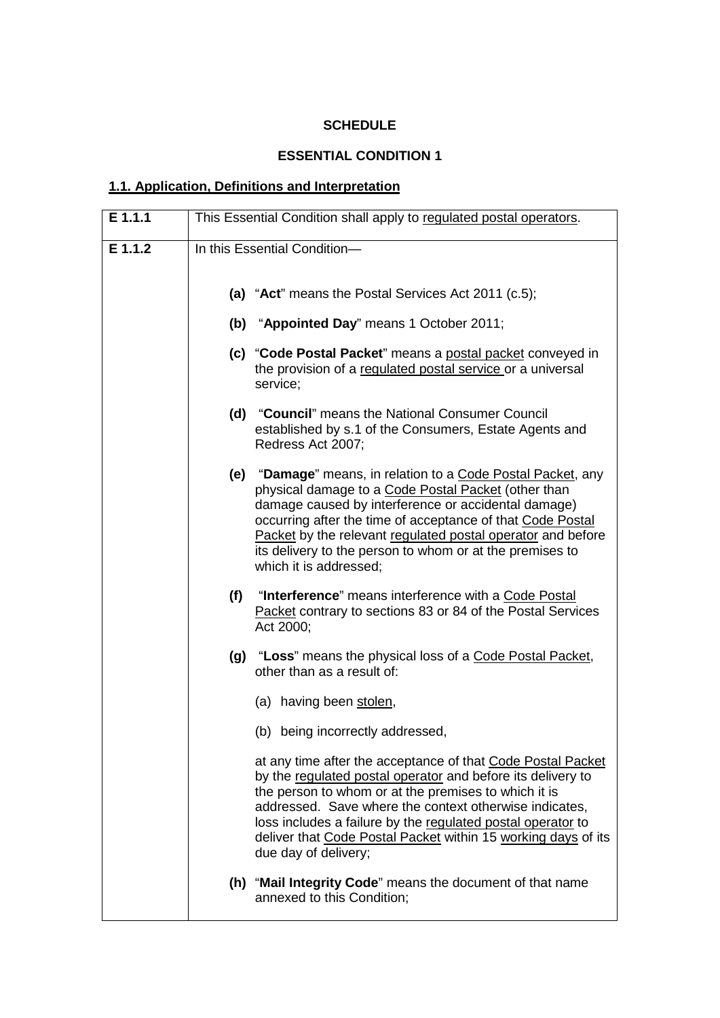# **SCHEDULE**

# **ESSENTIAL CONDITION 1**

# **1.1. Application, Definitions and Interpretation**

| E 1.1.1 | This Essential Condition shall apply to regulated postal operators. |                                                                                                                                                                                                                                                                                                                                                                                                      |
|---------|---------------------------------------------------------------------|------------------------------------------------------------------------------------------------------------------------------------------------------------------------------------------------------------------------------------------------------------------------------------------------------------------------------------------------------------------------------------------------------|
| E 1.1.2 | In this Essential Condition-                                        |                                                                                                                                                                                                                                                                                                                                                                                                      |
|         |                                                                     | (a) "Act" means the Postal Services Act 2011 (c.5);                                                                                                                                                                                                                                                                                                                                                  |
|         |                                                                     | (b) "Appointed Day" means 1 October 2011;                                                                                                                                                                                                                                                                                                                                                            |
|         |                                                                     | (c) "Code Postal Packet" means a postal packet conveyed in<br>the provision of a regulated postal service or a universal<br>service;                                                                                                                                                                                                                                                                 |
|         |                                                                     | (d) "Council" means the National Consumer Council<br>established by s.1 of the Consumers, Estate Agents and<br>Redress Act 2007;                                                                                                                                                                                                                                                                     |
|         |                                                                     | (e) "Damage" means, in relation to a Code Postal Packet, any<br>physical damage to a Code Postal Packet (other than<br>damage caused by interference or accidental damage)<br>occurring after the time of acceptance of that Code Postal<br>Packet by the relevant regulated postal operator and before<br>its delivery to the person to whom or at the premises to<br>which it is addressed;        |
|         | (f)                                                                 | "Interference" means interference with a Code Postal<br>Packet contrary to sections 83 or 84 of the Postal Services<br>Act 2000;                                                                                                                                                                                                                                                                     |
|         |                                                                     | (g) "Loss" means the physical loss of a Code Postal Packet,<br>other than as a result of:                                                                                                                                                                                                                                                                                                            |
|         |                                                                     | (a) having been stolen,                                                                                                                                                                                                                                                                                                                                                                              |
|         |                                                                     | (b) being incorrectly addressed,                                                                                                                                                                                                                                                                                                                                                                     |
|         |                                                                     | at any time after the acceptance of that Code Postal Packet<br>by the regulated postal operator and before its delivery to<br>the person to whom or at the premises to which it is<br>addressed. Save where the context otherwise indicates,<br>loss includes a failure by the regulated postal operator to<br>deliver that Code Postal Packet within 15 working days of its<br>due day of delivery; |
|         |                                                                     | (h) "Mail Integrity Code" means the document of that name<br>annexed to this Condition;                                                                                                                                                                                                                                                                                                              |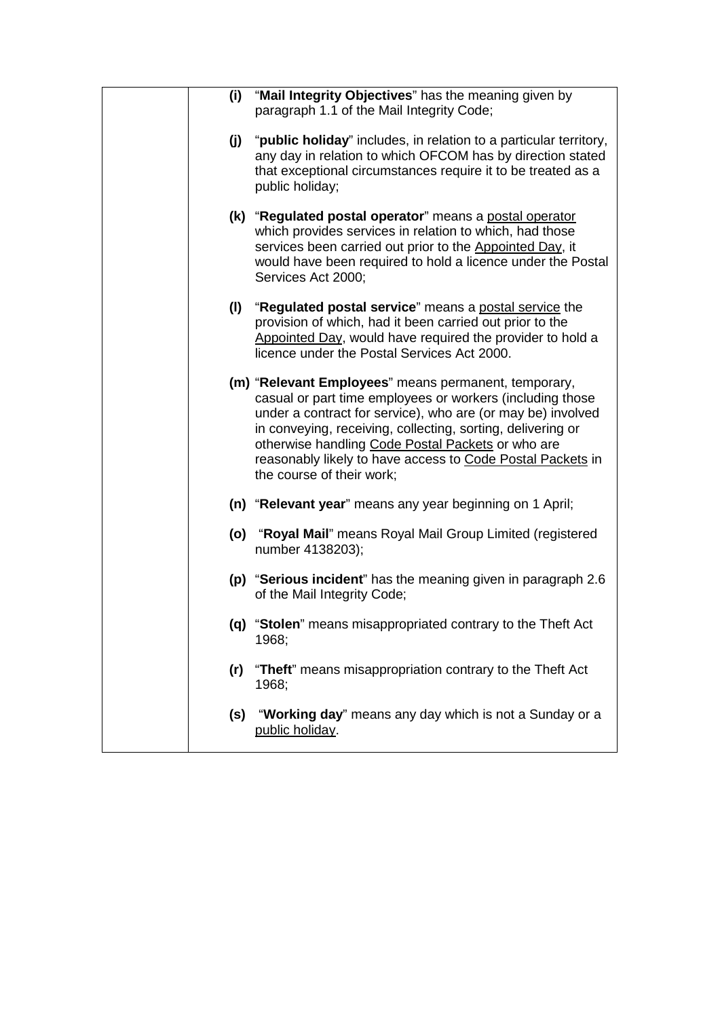| (i) | "Mail Integrity Objectives" has the meaning given by<br>paragraph 1.1 of the Mail Integrity Code;                                                                                                                                                                                                                                                                                               |
|-----|-------------------------------------------------------------------------------------------------------------------------------------------------------------------------------------------------------------------------------------------------------------------------------------------------------------------------------------------------------------------------------------------------|
| (j) | "public holiday" includes, in relation to a particular territory,<br>any day in relation to which OFCOM has by direction stated<br>that exceptional circumstances require it to be treated as a<br>public holiday;                                                                                                                                                                              |
|     | (k) "Regulated postal operator" means a postal operator<br>which provides services in relation to which, had those<br>services been carried out prior to the Appointed Day, it<br>would have been required to hold a licence under the Postal<br>Services Act 2000;                                                                                                                             |
| (1) | "Regulated postal service" means a postal service the<br>provision of which, had it been carried out prior to the<br>Appointed Day, would have required the provider to hold a<br>licence under the Postal Services Act 2000.                                                                                                                                                                   |
|     | (m) "Relevant Employees" means permanent, temporary,<br>casual or part time employees or workers (including those<br>under a contract for service), who are (or may be) involved<br>in conveying, receiving, collecting, sorting, delivering or<br>otherwise handling Code Postal Packets or who are<br>reasonably likely to have access to Code Postal Packets in<br>the course of their work; |
|     | (n) "Relevant year" means any year beginning on 1 April;                                                                                                                                                                                                                                                                                                                                        |
|     | (o) "Royal Mail" means Royal Mail Group Limited (registered<br>number 4138203);                                                                                                                                                                                                                                                                                                                 |
|     | (p) "Serious incident" has the meaning given in paragraph 2.6<br>of the Mail Integrity Code;                                                                                                                                                                                                                                                                                                    |
|     | (q) "Stolen" means misappropriated contrary to the Theft Act<br>1968;                                                                                                                                                                                                                                                                                                                           |
| (r) | "Theft" means misappropriation contrary to the Theft Act<br>1968;                                                                                                                                                                                                                                                                                                                               |
| (s) | "Working day" means any day which is not a Sunday or a<br>public holiday.                                                                                                                                                                                                                                                                                                                       |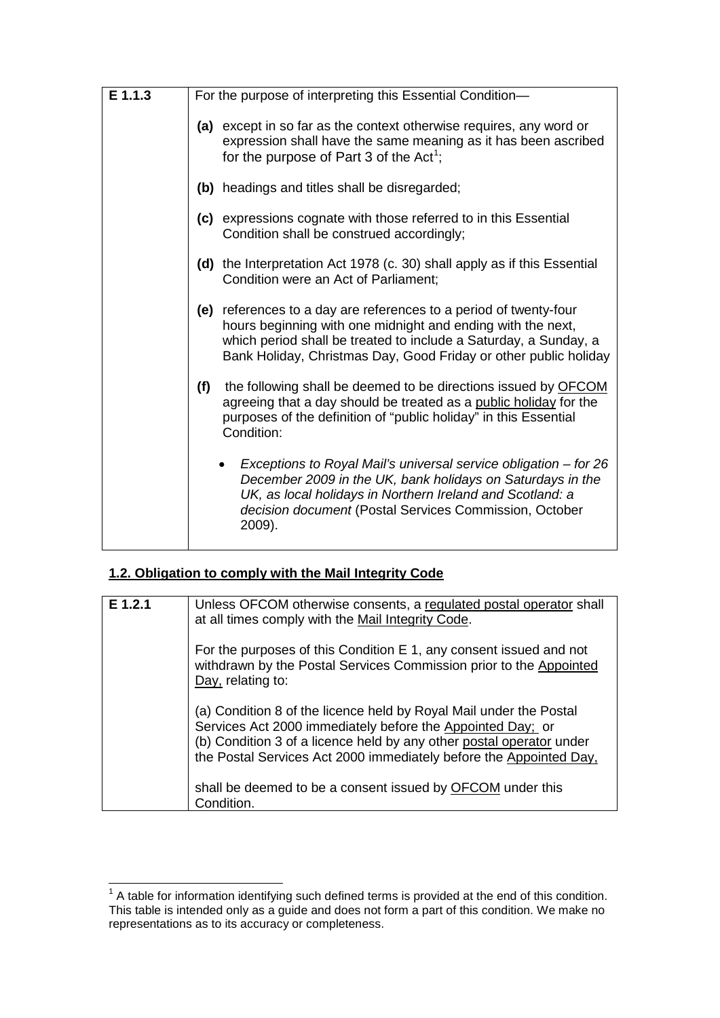| E 1.1.3 | For the purpose of interpreting this Essential Condition-                                                                                                                                                                                                                |  |
|---------|--------------------------------------------------------------------------------------------------------------------------------------------------------------------------------------------------------------------------------------------------------------------------|--|
|         | (a) except in so far as the context otherwise requires, any word or<br>expression shall have the same meaning as it has been ascribed<br>for the purpose of Part 3 of the Act <sup>1</sup> ;                                                                             |  |
|         | (b) headings and titles shall be disregarded;                                                                                                                                                                                                                            |  |
|         | (c) expressions cognate with those referred to in this Essential<br>Condition shall be construed accordingly;                                                                                                                                                            |  |
|         | (d) the Interpretation Act 1978 (c. 30) shall apply as if this Essential<br>Condition were an Act of Parliament;                                                                                                                                                         |  |
|         | (e) references to a day are references to a period of twenty-four<br>hours beginning with one midnight and ending with the next,<br>which period shall be treated to include a Saturday, a Sunday, a<br>Bank Holiday, Christmas Day, Good Friday or other public holiday |  |
|         | the following shall be deemed to be directions issued by OFCOM<br>(f)<br>agreeing that a day should be treated as a public holiday for the<br>purposes of the definition of "public holiday" in this Essential<br>Condition:                                             |  |
|         | Exceptions to Royal Mail's universal service obligation – for 26<br>December 2009 in the UK, bank holidays on Saturdays in the<br>UK, as local holidays in Northern Ireland and Scotland: a<br>decision document (Postal Services Commission, October<br>2009).          |  |

# **1.2. Obligation to comply with the Mail Integrity Code**

| $E$ 1.2.1 | Unless OFCOM otherwise consents, a regulated postal operator shall<br>at all times comply with the Mail Integrity Code.                                                                                                                                                        |  |  |
|-----------|--------------------------------------------------------------------------------------------------------------------------------------------------------------------------------------------------------------------------------------------------------------------------------|--|--|
|           | For the purposes of this Condition E 1, any consent issued and not<br>withdrawn by the Postal Services Commission prior to the Appointed<br>Day, relating to:                                                                                                                  |  |  |
|           | (a) Condition 8 of the licence held by Royal Mail under the Postal<br>Services Act 2000 immediately before the Appointed Day; or<br>(b) Condition 3 of a licence held by any other postal operator under<br>the Postal Services Act 2000 immediately before the Appointed Day, |  |  |
|           | shall be deemed to be a consent issued by <b>OFCOM</b> under this<br>Condition.                                                                                                                                                                                                |  |  |

<span id="page-4-0"></span>The sum to the term of the term of the term in the terms is provided at the end of this condition.<br><sup>1</sup> A table for information identifying such defined terms is provided at the end of this condition. This table is intended only as a guide and does not form a part of this condition. We make no representations as to its accuracy or completeness.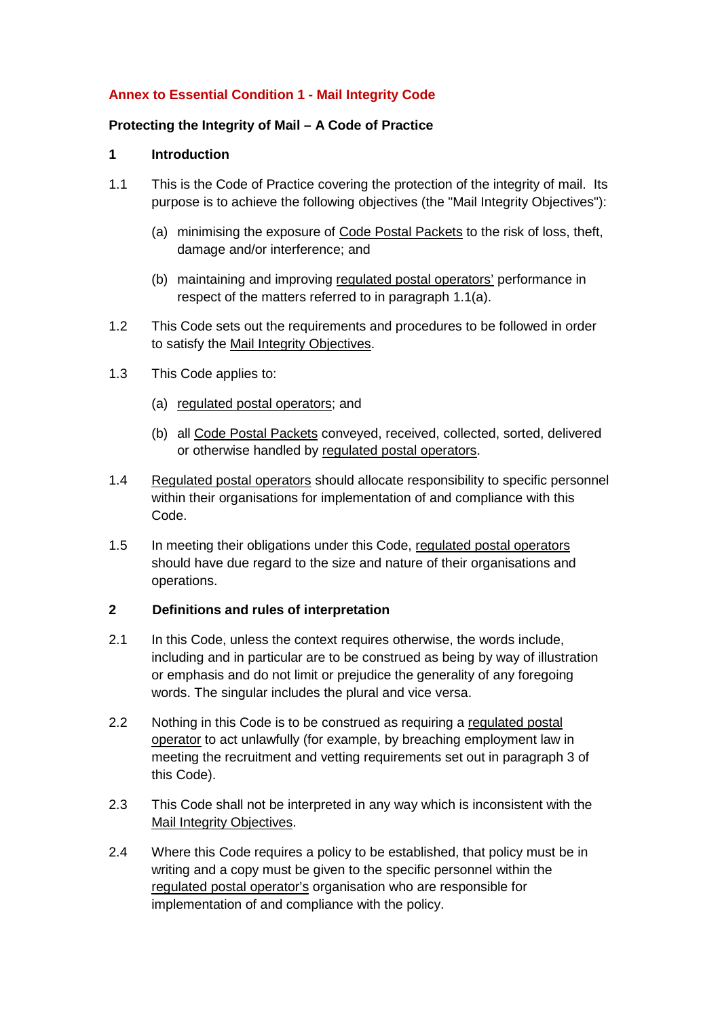# **Annex to Essential Condition 1 - Mail Integrity Code**

# **Protecting the Integrity of Mail – A Code of Practice**

# **1 Introduction**

- 1.1 This is the Code of Practice covering the protection of the integrity of mail. Its purpose is to achieve the following objectives (the "Mail Integrity Objectives"):
	- (a) minimising the exposure of Code Postal Packets to the risk of loss, theft, damage and/or interference; and
	- (b) maintaining and improving regulated postal operators' performance in respect of the matters referred to in paragraph 1.1(a).
- 1.2 This Code sets out the requirements and procedures to be followed in order to satisfy the Mail Integrity Objectives.
- 1.3 This Code applies to:
	- (a) regulated postal operators; and
	- (b) all Code Postal Packets conveyed, received, collected, sorted, delivered or otherwise handled by regulated postal operators.
- 1.4 Regulated postal operators should allocate responsibility to specific personnel within their organisations for implementation of and compliance with this Code.
- 1.5 In meeting their obligations under this Code, regulated postal operators should have due regard to the size and nature of their organisations and operations.

# **2 Definitions and rules of interpretation**

- 2.1 In this Code, unless the context requires otherwise, the words include, including and in particular are to be construed as being by way of illustration or emphasis and do not limit or prejudice the generality of any foregoing words. The singular includes the plural and vice versa.
- 2.2 Nothing in this Code is to be construed as requiring a regulated postal operator to act unlawfully (for example, by breaching employment law in meeting the recruitment and vetting requirements set out in paragraph 3 of this Code).
- 2.3 This Code shall not be interpreted in any way which is inconsistent with the Mail Integrity Objectives.
- 2.4 Where this Code requires a policy to be established, that policy must be in writing and a copy must be given to the specific personnel within the regulated postal operator's organisation who are responsible for implementation of and compliance with the policy.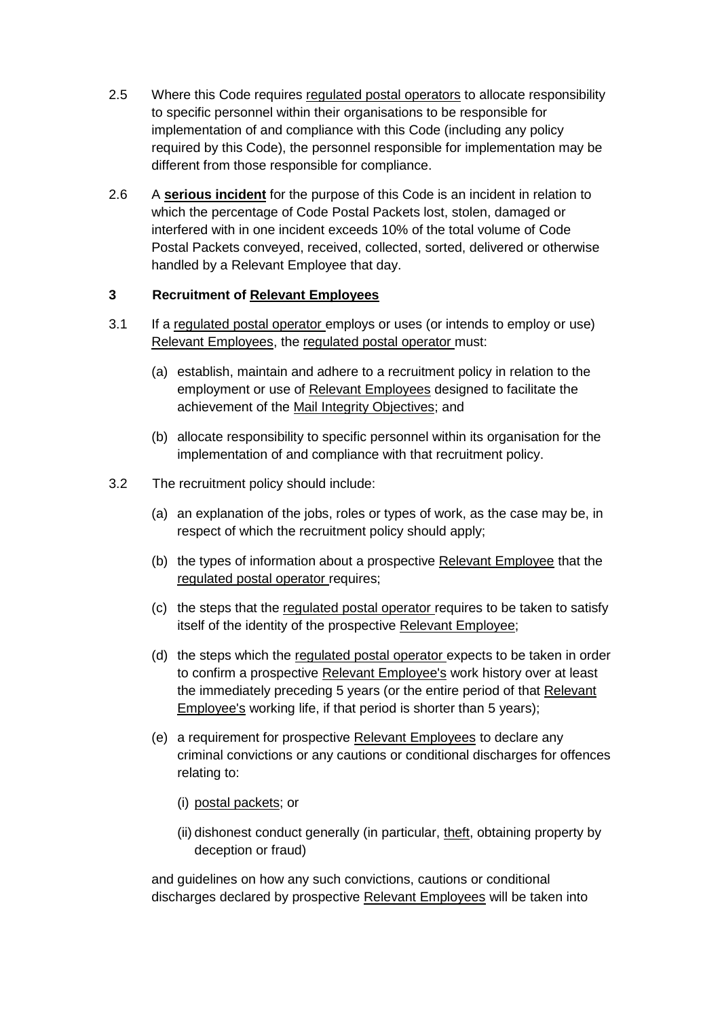- 2.5 Where this Code requires regulated postal operators to allocate responsibility to specific personnel within their organisations to be responsible for implementation of and compliance with this Code (including any policy required by this Code), the personnel responsible for implementation may be different from those responsible for compliance.
- 2.6 A **serious incident** for the purpose of this Code is an incident in relation to which the percentage of Code Postal Packets lost, stolen, damaged or interfered with in one incident exceeds 10% of the total volume of Code Postal Packets conveyed, received, collected, sorted, delivered or otherwise handled by a Relevant Employee that day.

# **3 Recruitment of Relevant Employees**

- 3.1 If a regulated postal operator employs or uses (or intends to employ or use) Relevant Employees, the regulated postal operator must:
	- (a) establish, maintain and adhere to a recruitment policy in relation to the employment or use of Relevant Employees designed to facilitate the achievement of the Mail Integrity Objectives; and
	- (b) allocate responsibility to specific personnel within its organisation for the implementation of and compliance with that recruitment policy.
- 3.2 The recruitment policy should include:
	- (a) an explanation of the jobs, roles or types of work, as the case may be, in respect of which the recruitment policy should apply;
	- (b) the types of information about a prospective Relevant Employee that the regulated postal operator requires;
	- (c) the steps that the regulated postal operator requires to be taken to satisfy itself of the identity of the prospective Relevant Employee;
	- (d) the steps which the regulated postal operator expects to be taken in order to confirm a prospective Relevant Employee's work history over at least the immediately preceding 5 years (or the entire period of that Relevant Employee's working life, if that period is shorter than 5 years);
	- (e) a requirement for prospective Relevant Employees to declare any criminal convictions or any cautions or conditional discharges for offences relating to:
		- (i) postal packets; or
		- (ii) dishonest conduct generally (in particular, theft, obtaining property by deception or fraud)

and guidelines on how any such convictions, cautions or conditional discharges declared by prospective Relevant Employees will be taken into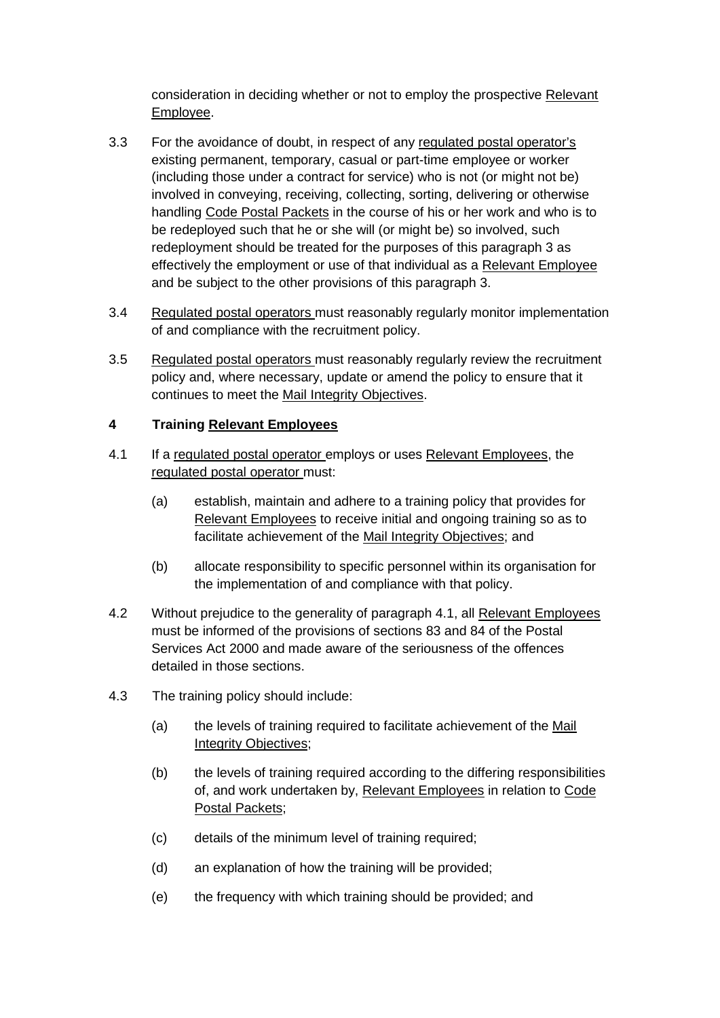consideration in deciding whether or not to employ the prospective Relevant Employee.

- 3.3 For the avoidance of doubt, in respect of any regulated postal operator's existing permanent, temporary, casual or part-time employee or worker (including those under a contract for service) who is not (or might not be) involved in conveying, receiving, collecting, sorting, delivering or otherwise handling Code Postal Packets in the course of his or her work and who is to be redeployed such that he or she will (or might be) so involved, such redeployment should be treated for the purposes of this paragraph 3 as effectively the employment or use of that individual as a Relevant Employee and be subject to the other provisions of this paragraph 3.
- 3.4 Regulated postal operators must reasonably regularly monitor implementation of and compliance with the recruitment policy.
- 3.5 Regulated postal operators must reasonably regularly review the recruitment policy and, where necessary, update or amend the policy to ensure that it continues to meet the Mail Integrity Objectives.

# **4 Training Relevant Employees**

- 4.1 If a regulated postal operator employs or uses Relevant Employees, the regulated postal operator must:
	- (a) establish, maintain and adhere to a training policy that provides for Relevant Employees to receive initial and ongoing training so as to facilitate achievement of the Mail Integrity Objectives; and
	- (b) allocate responsibility to specific personnel within its organisation for the implementation of and compliance with that policy.
- 4.2 Without prejudice to the generality of paragraph 4.1, all Relevant Employees must be informed of the provisions of sections 83 and 84 of the Postal Services Act 2000 and made aware of the seriousness of the offences detailed in those sections.
- 4.3 The training policy should include:
	- (a) the levels of training required to facilitate achievement of the Mail Integrity Objectives;
	- (b) the levels of training required according to the differing responsibilities of, and work undertaken by, Relevant Employees in relation to Code Postal Packets;
	- (c) details of the minimum level of training required;
	- (d) an explanation of how the training will be provided;
	- (e) the frequency with which training should be provided; and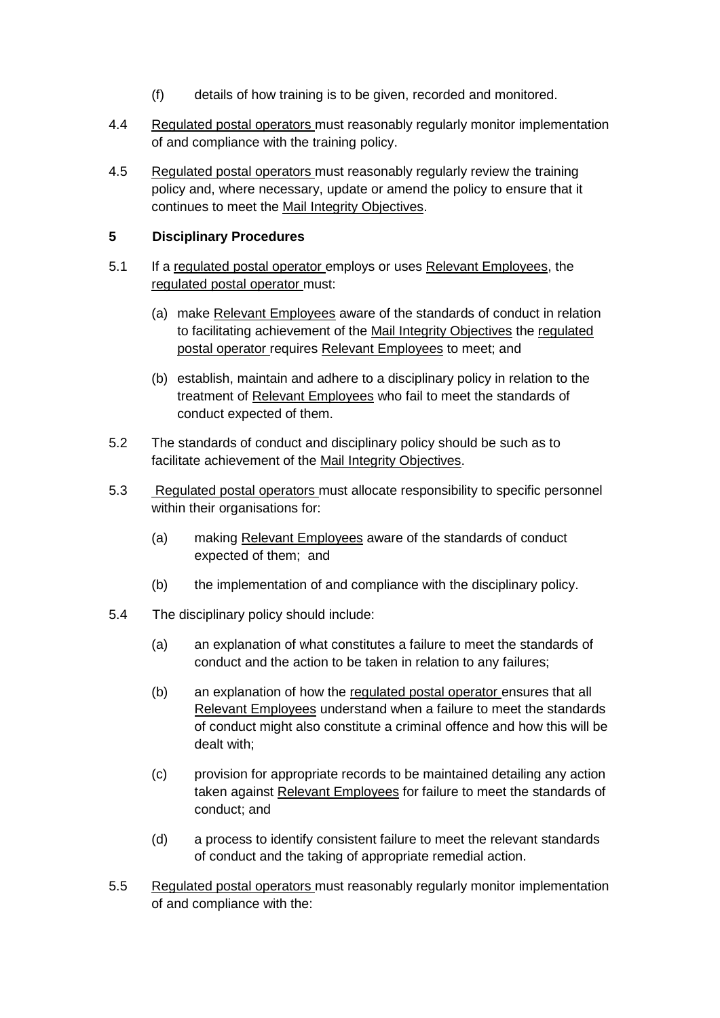- (f) details of how training is to be given, recorded and monitored.
- 4.4 Regulated postal operators must reasonably regularly monitor implementation of and compliance with the training policy.
- 4.5 Regulated postal operators must reasonably regularly review the training policy and, where necessary, update or amend the policy to ensure that it continues to meet the Mail Integrity Objectives.

# **5 Disciplinary Procedures**

- 5.1 If a regulated postal operator employs or uses Relevant Employees, the regulated postal operator must:
	- (a) make Relevant Employees aware of the standards of conduct in relation to facilitating achievement of the Mail Integrity Objectives the regulated postal operator requires Relevant Employees to meet; and
	- (b) establish, maintain and adhere to a disciplinary policy in relation to the treatment of Relevant Employees who fail to meet the standards of conduct expected of them.
- 5.2 The standards of conduct and disciplinary policy should be such as to facilitate achievement of the Mail Integrity Objectives.
- 5.3 Regulated postal operators must allocate responsibility to specific personnel within their organisations for:
	- (a) making Relevant Employees aware of the standards of conduct expected of them; and
	- (b) the implementation of and compliance with the disciplinary policy.
- 5.4 The disciplinary policy should include:
	- (a) an explanation of what constitutes a failure to meet the standards of conduct and the action to be taken in relation to any failures;
	- (b) an explanation of how the regulated postal operator ensures that all Relevant Employees understand when a failure to meet the standards of conduct might also constitute a criminal offence and how this will be dealt with;
	- (c) provision for appropriate records to be maintained detailing any action taken against Relevant Employees for failure to meet the standards of conduct; and
	- (d) a process to identify consistent failure to meet the relevant standards of conduct and the taking of appropriate remedial action.
- 5.5 Regulated postal operators must reasonably regularly monitor implementation of and compliance with the: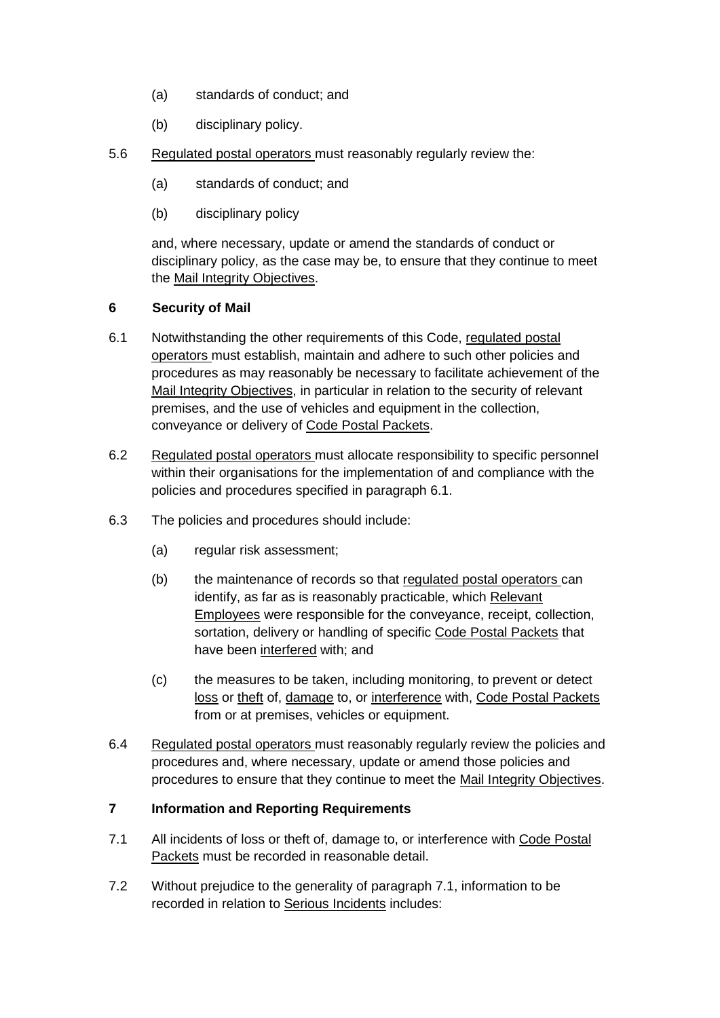- (a) standards of conduct; and
- (b) disciplinary policy.
- 5.6 Regulated postal operators must reasonably regularly review the:
	- (a) standards of conduct; and
	- (b) disciplinary policy

and, where necessary, update or amend the standards of conduct or disciplinary policy, as the case may be, to ensure that they continue to meet the Mail Integrity Objectives.

# **6 Security of Mail**

- 6.1 Notwithstanding the other requirements of this Code, regulated postal operators must establish, maintain and adhere to such other policies and procedures as may reasonably be necessary to facilitate achievement of the Mail Integrity Objectives, in particular in relation to the security of relevant premises, and the use of vehicles and equipment in the collection, conveyance or delivery of Code Postal Packets.
- 6.2 Regulated postal operators must allocate responsibility to specific personnel within their organisations for the implementation of and compliance with the policies and procedures specified in paragraph 6.1.
- 6.3 The policies and procedures should include:
	- (a) regular risk assessment;
	- (b) the maintenance of records so that regulated postal operators can identify, as far as is reasonably practicable, which Relevant Employees were responsible for the conveyance, receipt, collection, sortation, delivery or handling of specific Code Postal Packets that have been interfered with; and
	- (c) the measures to be taken, including monitoring, to prevent or detect loss or theft of, damage to, or interference with, Code Postal Packets from or at premises, vehicles or equipment.
- 6.4 Regulated postal operators must reasonably regularly review the policies and procedures and, where necessary, update or amend those policies and procedures to ensure that they continue to meet the Mail Integrity Objectives.

# **7 Information and Reporting Requirements**

- 7.1 All incidents of loss or theft of, damage to, or interference with Code Postal Packets must be recorded in reasonable detail.
- 7.2 Without prejudice to the generality of paragraph 7.1, information to be recorded in relation to Serious Incidents includes: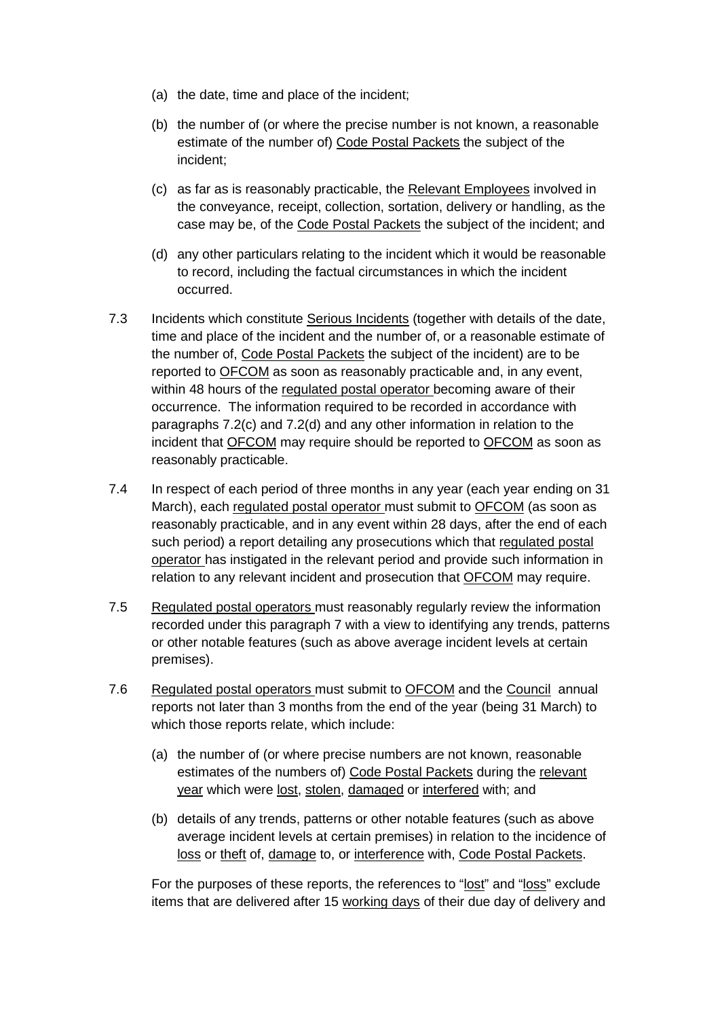- (a) the date, time and place of the incident;
- (b) the number of (or where the precise number is not known, a reasonable estimate of the number of) Code Postal Packets the subject of the incident;
- (c) as far as is reasonably practicable, the Relevant Employees involved in the conveyance, receipt, collection, sortation, delivery or handling, as the case may be, of the Code Postal Packets the subject of the incident; and
- (d) any other particulars relating to the incident which it would be reasonable to record, including the factual circumstances in which the incident occurred.
- 7.3 Incidents which constitute Serious Incidents (together with details of the date, time and place of the incident and the number of, or a reasonable estimate of the number of, Code Postal Packets the subject of the incident) are to be reported to OFCOM as soon as reasonably practicable and, in any event, within 48 hours of the regulated postal operator becoming aware of their occurrence. The information required to be recorded in accordance with paragraphs 7.2(c) and 7.2(d) and any other information in relation to the incident that OFCOM may require should be reported to OFCOM as soon as reasonably practicable.
- 7.4 In respect of each period of three months in any year (each year ending on 31 March), each regulated postal operator must submit to OFCOM (as soon as reasonably practicable, and in any event within 28 days, after the end of each such period) a report detailing any prosecutions which that regulated postal operator has instigated in the relevant period and provide such information in relation to any relevant incident and prosecution that OFCOM may require.
- 7.5 Regulated postal operators must reasonably regularly review the information recorded under this paragraph 7 with a view to identifying any trends, patterns or other notable features (such as above average incident levels at certain premises).
- 7.6 Regulated postal operators must submit to OFCOM and the Council annual reports not later than 3 months from the end of the year (being 31 March) to which those reports relate, which include:
	- (a) the number of (or where precise numbers are not known, reasonable estimates of the numbers of) Code Postal Packets during the relevant year which were lost, stolen, damaged or interfered with; and
	- (b) details of any trends, patterns or other notable features (such as above average incident levels at certain premises) in relation to the incidence of loss or theft of, damage to, or interference with, Code Postal Packets.

For the purposes of these reports, the references to "lost" and "loss" exclude items that are delivered after 15 working days of their due day of delivery and